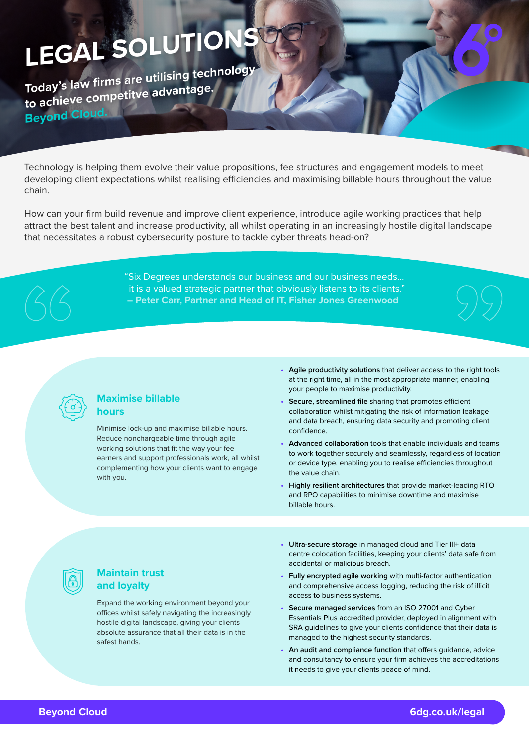# **LEGAL SOLUTION**

**Today's law firms are utilising technology to achieve competitve advantage. Beyond Cloud.**

Technology is helping them evolve their value propositions, fee structures and engagement models to meet developing client expectations whilst realising efficiencies and maximising billable hours throughout the value chain.

How can your firm build revenue and improve client experience, introduce agile working practices that help attract the best talent and increase productivity, all whilst operating in an increasingly hostile digital landscape that necessitates a robust cybersecurity posture to tackle cyber threats head-on?

> "Six Degrees understands our business and our business needs… it is a valued strategic partner that obviously listens to its clients." **– Peter Carr, Partner and Head of IT, Fisher Jones Greenwood**





## **Maximise billable hours**

Minimise lock-up and maximise billable hours. Reduce nonchargeable time through agile working solutions that fit the way your fee earners and support professionals work, all whilst complementing how your clients want to engage with you.

- **• Agile productivity solutions** that deliver access to the right tools at the right time, all in the most appropriate manner, enabling your people to maximise productivity.
- **• Secure, streamlined file** sharing that promotes efficient collaboration whilst mitigating the risk of information leakage and data breach, ensuring data security and promoting client confidence.
- **• Advanced collaboration** tools that enable individuals and teams to work together securely and seamlessly, regardless of location or device type, enabling you to realise efficiencies throughout the value chain.
- **• Highly resilient architectures** that provide market-leading RTO and RPO capabilities to minimise downtime and maximise billable hours.



# **Maintain trust and loyalty**

Expand the working environment beyond your offices whilst safely navigating the increasingly hostile digital landscape, giving your clients absolute assurance that all their data is in the safest hands.

- **• Ultra-secure storage** in managed cloud and Tier III+ data centre colocation facilities, keeping your clients' data safe from accidental or malicious breach.
- **• Fully encrypted agile working** with multi-factor authentication and comprehensive access logging, reducing the risk of illicit access to business systems.
- **• Secure managed services** from an ISO 27001 and Cyber Essentials Plus accredited provider, deployed in alignment with SRA guidelines to give your clients confidence that their data is managed to the highest security standards.
- **• An audit and compliance function** that offers guidance, advice and consultancy to ensure your firm achieves the accreditations it needs to give your clients peace of mind.